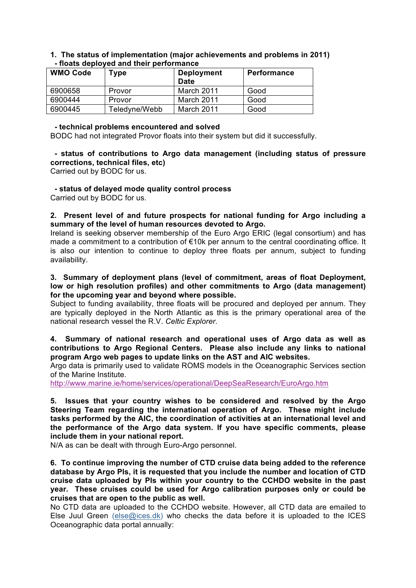### **1. The status of implementation (major achievements and problems in 2011) - floats deployed and their performance**

| <b>WMO Code</b> | Type          | <b>Deployment</b><br><b>Date</b> | <b>Performance</b> |
|-----------------|---------------|----------------------------------|--------------------|
| 6900658         | Provor        | March 2011                       | Good               |
| 6900444         | Provor        | March 2011                       | Good               |
| 6900445         | Teledyne/Webb | March 2011                       | Good               |

#### **- technical problems encountered and solved**

BODC had not integrated Provor floats into their system but did it successfully.

# **- status of contributions to Argo data management (including status of pressure corrections, technical files, etc)**

Carried out by BODC for us.

 **- status of delayed mode quality control process**

Carried out by BODC for us.

**2. Present level of and future prospects for national funding for Argo including a summary of the level of human resources devoted to Argo.**

Ireland is seeking observer membership of the Euro Argo ERIC (legal consortium) and has made a commitment to a contribution of €10k per annum to the central coordinating office. It is also our intention to continue to deploy three floats per annum, subject to funding availability.

### **3. Summary of deployment plans (level of commitment, areas of float Deployment, low or high resolution profiles) and other commitments to Argo (data management) for the upcoming year and beyond where possible.**

Subject to funding availability, three floats will be procured and deployed per annum. They are typically deployed in the North Atlantic as this is the primary operational area of the national research vessel the R.V. *Celtic Explorer*.

## **4. Summary of national research and operational uses of Argo data as well as contributions to Argo Regional Centers. Please also include any links to national program Argo web pages to update links on the AST and AIC websites.**

Argo data is primarily used to validate ROMS models in the Oceanographic Services section of the Marine Institute.

http://www.marine.ie/home/services/operational/DeepSeaResearch/EuroArgo.htm

**5. Issues that your country wishes to be considered and resolved by the Argo Steering Team regarding the international operation of Argo. These might include tasks performed by the AIC, the coordination of activities at an international level and the performance of the Argo data system. If you have specific comments, please include them in your national report.**

N/A as can be dealt with through Euro-Argo personnel.

**6. To continue improving the number of CTD cruise data being added to the reference database by Argo PIs, it is requested that you include the number and location of CTD cruise data uploaded by PIs within your country to the CCHDO website in the past year. These cruises could be used for Argo calibration purposes only or could be cruises that are open to the public as well.**

No CTD data are uploaded to the CCHDO website. However, all CTD data are emailed to Else Juul Green (else@ices.dk) who checks the data before it is uploaded to the ICES Oceanographic data portal annually: